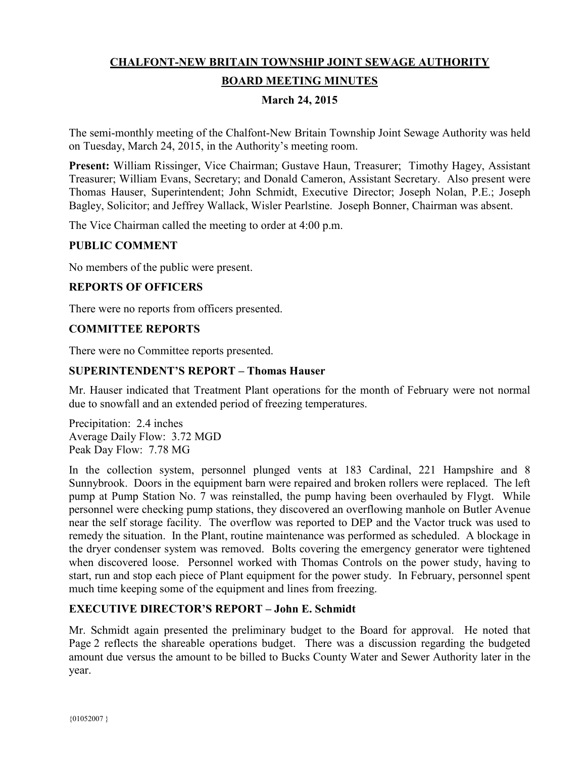# **CHALFONT-NEW BRITAIN TOWNSHIP JOINT SEWAGE AUTHORITY BOARD MEETING MINUTES**

## **March 24, 2015**

The semi-monthly meeting of the Chalfont-New Britain Township Joint Sewage Authority was held on Tuesday, March 24, 2015, in the Authority's meeting room.

**Present:** William Rissinger, Vice Chairman; Gustave Haun, Treasurer; Timothy Hagey, Assistant Treasurer; William Evans, Secretary; and Donald Cameron, Assistant Secretary. Also present were Thomas Hauser, Superintendent; John Schmidt, Executive Director; Joseph Nolan, P.E.; Joseph Bagley, Solicitor; and Jeffrey Wallack, Wisler Pearlstine. Joseph Bonner, Chairman was absent.

The Vice Chairman called the meeting to order at 4:00 p.m.

## **PUBLIC COMMENT**

No members of the public were present.

#### **REPORTS OF OFFICERS**

There were no reports from officers presented.

#### **COMMITTEE REPORTS**

There were no Committee reports presented.

#### **SUPERINTENDENT'S REPORT – Thomas Hauser**

Mr. Hauser indicated that Treatment Plant operations for the month of February were not normal due to snowfall and an extended period of freezing temperatures.

Precipitation: 2.4 inches Average Daily Flow: 3.72 MGD Peak Day Flow: 7.78 MG

In the collection system, personnel plunged vents at 183 Cardinal, 221 Hampshire and 8 Sunnybrook. Doors in the equipment barn were repaired and broken rollers were replaced. The left pump at Pump Station No. 7 was reinstalled, the pump having been overhauled by Flygt. While personnel were checking pump stations, they discovered an overflowing manhole on Butler Avenue near the self storage facility. The overflow was reported to DEP and the Vactor truck was used to remedy the situation. In the Plant, routine maintenance was performed as scheduled. A blockage in the dryer condenser system was removed. Bolts covering the emergency generator were tightened when discovered loose. Personnel worked with Thomas Controls on the power study, having to start, run and stop each piece of Plant equipment for the power study. In February, personnel spent much time keeping some of the equipment and lines from freezing.

#### **EXECUTIVE DIRECTOR'S REPORT – John E. Schmidt**

Mr. Schmidt again presented the preliminary budget to the Board for approval. He noted that Page 2 reflects the shareable operations budget. There was a discussion regarding the budgeted amount due versus the amount to be billed to Bucks County Water and Sewer Authority later in the year.